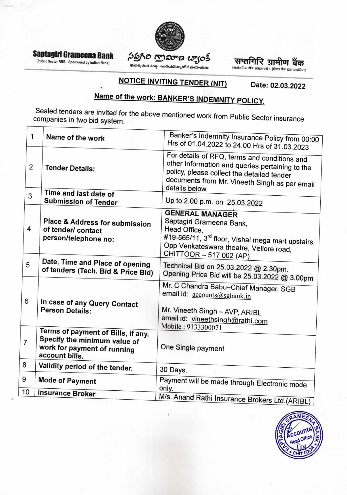

# Saptagiri Grameena Bank

(Public Sector RRB : Sponsored by Indian Bank)

# సప్తగిరి గ్రామాణ బ్యాంక్

 $\ddot{\text{o}}$ ಭುಷ್ಯರಂಗ ಸಂಸ್ಥೆ : ಇಂಡಿಯಸಿ ಬ್ಯಾಂ§ವೆ ಸ್ವಾಯಾಜಿತಂ)

सप्तगिरि ग्रामीण बैंक

(सार्वजनिक दोत्र आरआरबी : इंडियन बैंक द्वारा प्रायोजित)

#### **NOTICE INVITING TENDER (NIT)** Date: 02.03.2022

# Name of the work: BANKER'S INDEMNITY POLICY.

Sealed tenders are invited for the above mentioned work from Public Sector insurance companies in two bid system.

|                | 1              | Name of the work                                                                                                    | Banker's Indemnity Insurance Policy from 00:00<br>Hrs of 01.04.2022 to 24.00 Hrs of 31.03.2023                                                                                                                   |
|----------------|----------------|---------------------------------------------------------------------------------------------------------------------|------------------------------------------------------------------------------------------------------------------------------------------------------------------------------------------------------------------|
|                | $\overline{2}$ | <b>Tender Details:</b>                                                                                              | For details of RFQ, terms and conditions and<br>other Information and queries pertaining to the<br>policy, please collect the detailed tender<br>documents from Mr. Vineeth Singh as per email<br>details below. |
|                | 3              | Time and last date of<br><b>Submission of Tender</b>                                                                | Up to 2.00 p.m. on 25.03.2022                                                                                                                                                                                    |
|                | 4              | Place & Address for submission<br>of tender/ contact<br>person/telephone no:                                        | <b>GENERAL MANAGER</b><br>Saptagiri Grameena Bank,<br>Head Office,<br>#19-565/11, 3 <sup>rd</sup> floor, Vishal mega mart upstairs,<br>Opp Venkateswara theatre, Vellore road,<br>CHITTOOR - 517 002 (AP)        |
|                | 5              | Date, Time and Place of opening<br>of tenders (Tech. Bid & Price Bid)                                               | Technical Bid on 25.03.2022 @ 2.30pm.<br>Opening Price Bid will be 25.03.2022 @ 3.00pm                                                                                                                           |
|                | 6              | In case of any Query Contact<br><b>Person Details:</b>                                                              | Mr. C Chandra Babu-Chief Manager, SGB<br>email id: accounts@sgbank.in<br>Mr. Vineeth Singh - AVP, ARIBL<br>email id: vineethsingh@rathi.com                                                                      |
| $\overline{7}$ |                | Terms of payment of Bills, if any.<br>Specify the minimum value of<br>work for payment of running<br>account bills. | Mobile: 9133300071<br>One Single payment                                                                                                                                                                         |
| 8              |                | Validity period of the tender.                                                                                      | 30 Days.                                                                                                                                                                                                         |
| 9              |                | <b>Mode of Payment</b>                                                                                              | Payment will be made through Electronic mode<br>only.                                                                                                                                                            |
|                | 10             | <b>Insurance Broker</b>                                                                                             | M/s. Anand Rathi Insurance Brokers Ltd. (ARIBL)                                                                                                                                                                  |
|                |                |                                                                                                                     |                                                                                                                                                                                                                  |